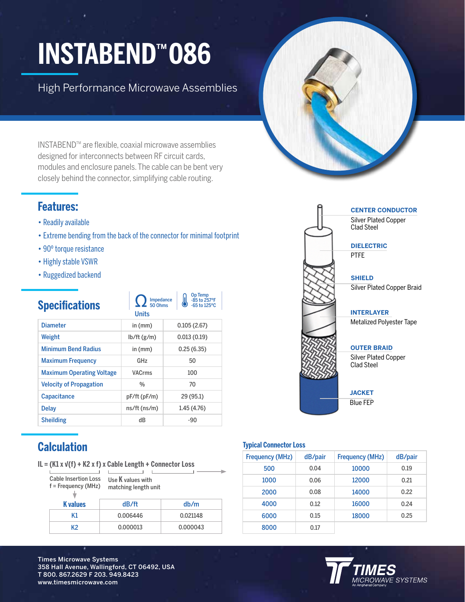## **INSTABENDTM 086**

High Performance Microwave Assemblies

INSTABENDTM are flexible, coaxial microwave assemblies designed for interconnects between RF circuit cards, modules and enclosure panels. The cable can be bent very closely behind the connector, simplifying cable routing.

#### **Features:**

- Readily available
- Extreme bending from the back of the connector for minimal footprint

Impedance 50 Ohms

Op Temp -85 to 257ºF -65 to 125ºC

- 90º torque resistance
- Highly stable VSWR
- Ruggedized backend

#### **Specifications**

|                                  | <b>Units</b>       |             |
|----------------------------------|--------------------|-------------|
| <b>Diameter</b>                  | in $(mm)$          | 0.105(2.67) |
| Weight                           | $lb/ft$ (g/m)      | 0.013(0.19) |
| <b>Minimum Bend Radius</b>       | in (mm)            | 0.25(6.35)  |
| <b>Maximum Frequency</b>         | GHz                | 50          |
| <b>Maximum Operating Voltage</b> | <b>VACrms</b>      | 100         |
| <b>Velocity of Propagation</b>   | $\frac{0}{0}$      | 70          |
| <b>Capacitance</b>               | pF/ft(pF/m)        | 29 (95.1)   |
| <b>Delay</b>                     | $ns/ft$ ( $ns/m$ ) | 1.45 (4.76) |
| <b>Sheilding</b>                 | dB                 | $-90$       |
|                                  |                    |             |

#### **Calculation**

**IL = (K1 x √(f) + K2 x f) x Cable Length + Connector Loss**

Cable Insertion Loss Use **K** values with  $\perp$ 

f = Frequency (MHz) matching length unit

| <b>K</b> values | dB/ft    | db/m     |
|-----------------|----------|----------|
| K1              | 0.006446 | 0.021148 |
| K2              | 0.000013 | 0.000043 |
|                 |          |          |





#### **Typical Connector Loss**

| <b>Frequency (MHz)</b> | dB/pair | <b>Frequency (MHz)</b> | dB/pair |
|------------------------|---------|------------------------|---------|
| 500                    | 0.04    | 10000                  | 0.19    |
| 1000                   | 0.06    | 12000                  | 0.21    |
| 2000                   | 0.08    | 14000                  | 0.22    |
| 4000                   | 0.12    | 16000                  | 0.24    |
| 6000                   | 0.15    | 18000                  | 0.25    |
| 8000                   | 0.17    |                        |         |



Times Microwave Systems 358 Hall Avenue, Wallingford, CT 06492, USA T 800. 867.2629 F 203. 949.8423 www.timesmicrowave.com